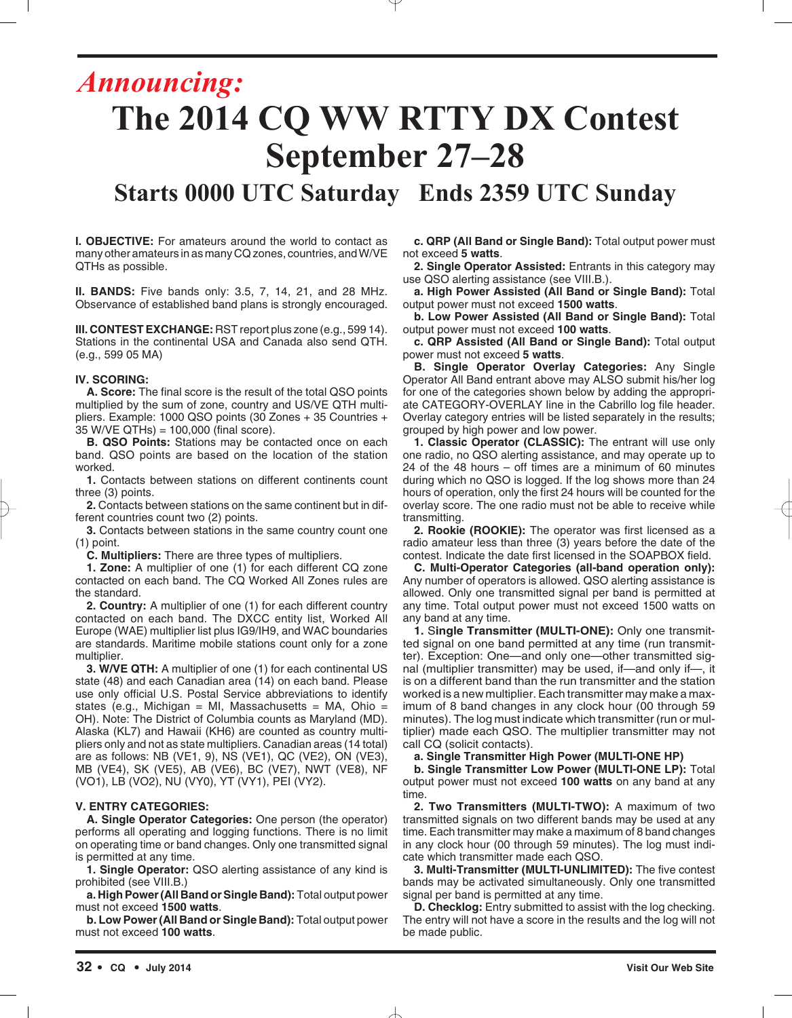## *Announcing:* **The 2014 CQ WW RTTY DX Contest September 27–28 Starts 0000 UTC Saturday Ends 2359 UTC Sunday**

**I. OBJECTIVE:** For amateurs around the world to contact as many other amateurs in as many CQ zones, countries, and W/VE

**II. BANDS:** Five bands only: 3.5, 7, 14, 21, and 28 MHz. Observance of established band plans is strongly encouraged.

**III. CONTEST EXCHANGE:** RST report plus zone (e.g., 599 14). Stations in the continental USA and Canada also send QTH. (e.g., 599 05 MA)

#### **IV. SCORING:**

QTHs as possible.

**A. Score:** The final score is the result of the total QSO points multiplied by the sum of zone, country and US/VE QTH multipliers. Example: 1000 QSO points (30 Zones + 35 Countries + 35 W/VE QTHs) = 100,000 (final score).

**B. QSO Points:** Stations may be contacted once on each band. QSO points are based on the location of the station worked.

**1.** Contacts between stations on different continents count three (3) points.

**2.** Contacts between stations on the same continent but in different countries count two (2) points.

**3.** Contacts between stations in the same country count one (1) point.

**C. Multipliers:** There are three types of multipliers.

**1. Zone:** A multiplier of one (1) for each different CQ zone contacted on each band. The CQ Worked All Zones rules are the standard.

**2. Country:** A multiplier of one (1) for each different country contacted on each band. The DXCC entity list, Worked All Europe (WAE) multiplier list plus IG9/IH9, and WAC boundaries are standards. Maritime mobile stations count only for a zone multiplier.

**3. W/VE QTH:** A multiplier of one (1) for each continental US state (48) and each Canadian area (14) on each band. Please use only official U.S. Postal Service abbreviations to identify states (e.g., Michigan = MI, Massachusetts = MA, Ohio = OH). Note: The District of Columbia counts as Maryland (MD). Alaska (KL7) and Hawaii (KH6) are counted as country multipliers only and not as state multipliers. Canadian areas (14 total) are as follows: NB (VE1, 9), NS (VE1), QC (VE2), ON (VE3), MB (VE4), SK (VE5), AB (VE6), BC (VE7), NWT (VE8), NF (VO1), LB (VO2), NU (VY0), YT (VY1), PEI (VY2).

#### **V. ENTRY CATEGORIES:**

**A. Single Operator Categories:** One person (the operator) performs all operating and logging functions. There is no limit on operating time or band changes. Only one transmitted signal is permitted at any time.

**1. Single Operator:** QSO alerting assistance of any kind is prohibited (see VIII.B.)

**a. High Power (All Band or Single Band):** Total output power must not exceed **1500 watts**.

**b. Low Power (All Band or Single Band):** Total output power must not exceed **100 watts**.

**c. QRP (All Band or Single Band):** Total output power must not exceed **5 watts**.

**2. Single Operator Assisted:** Entrants in this category may use QSO alerting assistance (see VIII.B.).

**a. High Power Assisted (All Band or Single Band):** Total output power must not exceed **1500 watts**.

**b. Low Power Assisted (All Band or Single Band):** Total output power must not exceed **100 watts**.

**c. QRP Assisted (All Band or Single Band):** Total output power must not exceed **5 watts**.

**B. Single Operator Overlay Categories:** Any Single Operator All Band entrant above may ALSO submit his/her log for one of the categories shown below by adding the appropriate CATEGORY-OVERLAY line in the Cabrillo log file header. Overlay category entries will be listed separately in the results; grouped by high power and low power.

**1. Classic Operator (CLASSIC):** The entrant will use only one radio, no QSO alerting assistance, and may operate up to 24 of the 48 hours – off times are a minimum of 60 minutes during which no QSO is logged. If the log shows more than 24 hours of operation, only the first 24 hours will be counted for the overlay score. The one radio must not be able to receive while transmitting.

**2. Rookie (ROOKIE):** The operator was first licensed as a radio amateur less than three (3) years before the date of the contest. Indicate the date first licensed in the SOAPBOX field.

**C. Multi-Operator Categories (all-band operation only):** Any number of operators is allowed. QSO alerting assistance is allowed. Only one transmitted signal per band is permitted at any time. Total output power must not exceed 1500 watts on any band at any time.

**1.** S**ingle Transmitter (MULTI-ONE):** Only one transmitted signal on one band permitted at any time (run transmitter). Exception: One—and only one—other transmitted signal (multiplier transmitter) may be used, if—and only if—, it is on a different band than the run transmitter and the station worked is a new multiplier. Each transmitter may make a maximum of 8 band changes in any clock hour (00 through 59 minutes). The log must indicate which transmitter (run or multiplier) made each QSO. The multiplier transmitter may not call CQ (solicit contacts).

**a. Single Transmitter High Power (MULTI-ONE HP)**

**b. Single Transmitter Low Power (MULTI-ONE LP):** Total output power must not exceed **100 watts** on any band at any time.

**2. Two Transmitters (MULTI-TWO):** A maximum of two transmitted signals on two different bands may be used at any time. Each transmitter may make a maximum of 8 band changes in any clock hour (00 through 59 minutes). The log must indicate which transmitter made each QSO.

**3. Multi-Transmitter (MULTI-UNLIMITED):** The five contest bands may be activated simultaneously. Only one transmitted signal per band is permitted at any time.

**D. Checklog:** Entry submitted to assist with the log checking. The entry will not have a score in the results and the log will not be made public.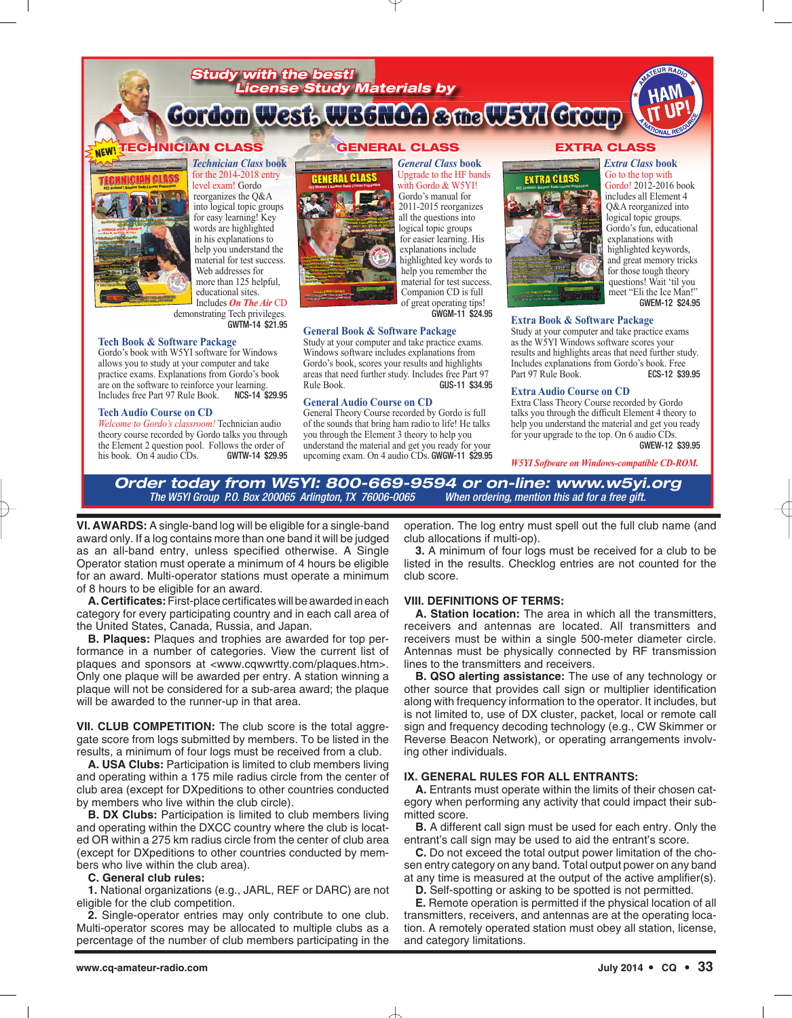



more than 125 helpful,

educational sites. Includes *On The Air* CD demonstrating Tech privileges. GWTM-14 \$21.95

#### **Tech Book & Software Package**

Gordo's book with W5YI software for Windows allows you to study at your computer and take practice exams. Explanations from Gordo's book are on the software to reinforce your learning.<br>Includes free Part 97 Rule Book. **NCS-14 \$29.95** Includes free Part 97 Rule Book.

#### **Tech Audio Course on CD**

*Welcome to Gordo's classroom!* Technician audio theory course recorded by Gordo talks you through the Element 2 question pool. Follows the order of<br>his book. On 4 audio CDs. **GWTW-14 \$29.95** his book. On  $\vec{4}$  audio CDs.



GWGM-11 \$24.95 **General Book & Software Package**

Study at your computer and take practice exams. Windows software includes explanations from Gordo's book, scores your results and highlights areas that need further study. Includes free Part 97 Rule Book. GUS-11 \$34.95

#### **General Audio Course on CD**

General Theory Course recorded by Gordo is full of the sounds that bring ham radio to life! He talks you through the Element 3 theory to help you understand the material and get you ready for your upcoming exam. On 4 audio CDs. GWGW-11 \$29.95

questions! Wait 'til you meet "Eli the Ice Man!" GWEM-12 \$24.95

#### **Extra Book & Software Package**

Study at your computer and take practice exams as the W5YI Windows software scores your results and highlights areas that need further study. Includes explanations from Gordo's book. Free<br>Part 97 Rule Book. **ECS-12 \$39.95** Part 97 Rule Book.

#### **Extra Audio Course on CD**

Extra Class Theory Course recorded by Gordo talks you through the difficult Element 4 theory to help you understand the material and get you ready for your upgrade to the top. On 6 audio CDs. GWEW-12 \$39.95

*W5YI Software on Windows-compatible CD-ROM.*

#### *Order today from W5YI: 800-669-9594 or on-line: www.w5yi.org*<br>The W5YI Group P.0. Box 200065 Arlington, TX 76006-0065 *When ordering, mention this ad for a free gitt*. The W5YI Group P.O. Box 200065 Arlington, TX 76006-0065

**VI. AWARDS:** A single-band log will be eligible for a single-band award only. If a log contains more than one band it will be judged as an all-band entry, unless specified otherwise. A Single Operator station must operate a minimum of 4 hours be eligible for an award. Multi-operator stations must operate a minimum of 8 hours to be eligible for an award.

**A. Certificates:**First-place certificates will be awarded in each category for every participating country and in each call area of the United States, Canada, Russia, and Japan.

**B. Plaques:** Plaques and trophies are awarded for top performance in a number of categories. View the current list of plaques and sponsors at <www.cqwwrtty.com/plaques.htm>. Only one plaque will be awarded per entry. A station winning a plaque will not be considered for a sub-area award; the plaque will be awarded to the runner-up in that area.

**VII. CLUB COMPETITION:** The club score is the total aggregate score from logs submitted by members. To be listed in the results, a minimum of four logs must be received from a club.

**A. USA Clubs:** Participation is limited to club members living and operating within a 175 mile radius circle from the center of club area (except for DXpeditions to other countries conducted by members who live within the club circle).

**B. DX Clubs:** Participation is limited to club members living and operating within the DXCC country where the club is located OR within a 275 km radius circle from the center of club area (except for DXpeditions to other countries conducted by members who live within the club area).

#### **C. General club rules:**

**1.** National organizations (e.g., JARL, REF or DARC) are not eligible for the club competition.

**2.** Single-operator entries may only contribute to one club. Multi-operator scores may be allocated to multiple clubs as a percentage of the number of club members participating in the

operation. The log entry must spell out the full club name (and club allocations if multi-op).

**3.** A minimum of four logs must be received for a club to be listed in the results. Checklog entries are not counted for the club score.

#### **VIII. DEFINITIONS OF TERMS:**

**A. Station location:** The area in which all the transmitters, receivers and antennas are located. All transmitters and receivers must be within a single 500-meter diameter circle. Antennas must be physically connected by RF transmission lines to the transmitters and receivers.

**B. QSO alerting assistance:** The use of any technology or other source that provides call sign or multiplier identification along with frequency information to the operator. It includes, but is not limited to, use of DX cluster, packet, local or remote call sign and frequency decoding technology (e.g., CW Skimmer or Reverse Beacon Network), or operating arrangements involving other individuals.

#### **IX. GENERAL RULES FOR ALL ENTRANTS:**

**A.** Entrants must operate within the limits of their chosen category when performing any activity that could impact their submitted score.

**B.** A different call sign must be used for each entry. Only the entrant's call sign may be used to aid the entrant's score.

**C.** Do not exceed the total output power limitation of the chosen entry category on any band. Total output power on any band at any time is measured at the output of the active amplifier(s).

**D.** Self-spotting or asking to be spotted is not permitted.

**E.** Remote operation is permitted if the physical location of all transmitters, receivers, and antennas are at the operating location. A remotely operated station must obey all station, license, and category limitations.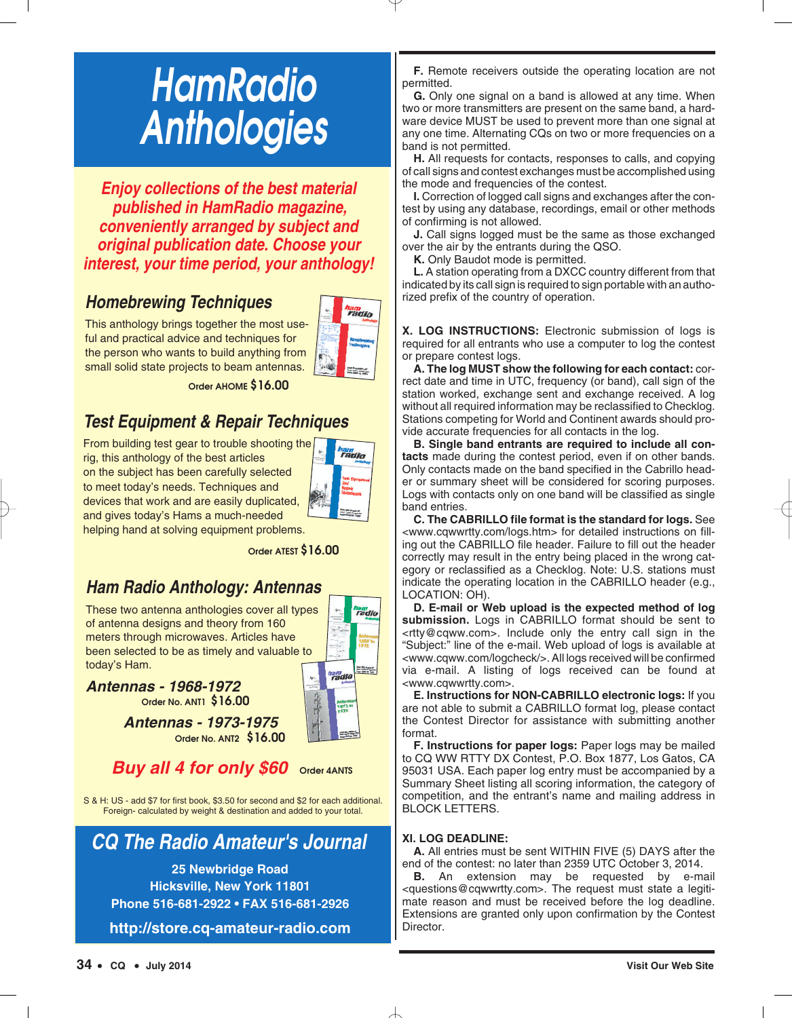# *HamRadio Anthologies*

*Enjoy collections of the best material published in HamRadio magazine, conveniently arranged by subject and original publication date. Choose your interest, your time period, your anthology!*

## *Homebrewing Techniques*

This anthology brings together the most useful and practical advice and techniques for the person who wants to build anything from small solid state projects to beam antennas.



**Order AHOME \$16.00**

## *Test Equipment & Repair Techniques*

From building test gear to trouble shooting the rig, this anthology of the best articles on the subject has been carefully selected to meet today's needs. Techniques and devices that work and are easily duplicated, and gives today's Hams a much-needed



helping hand at solving equipment problems.

**Order ATEST \$16.00**

## *Ham Radio Anthology: Antennas*

These two antenna anthologies cover all types of antenna designs and theory from 160 meters through microwaves. Articles have been selected to be as timely and valuable to today's Ham.



*Antennas - 1968-1972* 

**Order No. ANT1 \$16.00**

*Antennas - 1973-1975* **Order No. ANT2 \$16.00**

## *Buy all 4 for only \$60* **Order 4ANTS**

S & H: US - add \$7 for first book, \$3.50 for second and \$2 for each additional. Foreign- calculated by weight & destination and added to your total.

## *CQ The Radio Amateur's Journal*

**25 Newbridge Road Hicksville, New York 11801 Phone 516-681-2922 • FAX 516-681-2926**

**http://store.cq-amateur-radio.com**

**F.** Remote receivers outside the operating location are not permitted.

**G.** Only one signal on a band is allowed at any time. When two or more transmitters are present on the same band, a hardware device MUST be used to prevent more than one signal at any one time. Alternating CQs on two or more frequencies on a band is not permitted.

**H.** All requests for contacts, responses to calls, and copying of call signs and contest exchanges must be accomplished using the mode and frequencies of the contest.

**I.** Correction of logged call signs and exchanges after the contest by using any database, recordings, email or other methods of confirming is not allowed.

**J.** Call signs logged must be the same as those exchanged over the air by the entrants during the QSO.

**K.** Only Baudot mode is permitted.

**L.** A station operating from a DXCC country different from that indicated by its call sign is required to sign portable with an authorized prefix of the country of operation.

**X. LOG INSTRUCTIONS:** Electronic submission of logs is required for all entrants who use a computer to log the contest or prepare contest logs.

**A. The log MUST show the following for each contact:** correct date and time in UTC, frequency (or band), call sign of the station worked, exchange sent and exchange received. A log without all required information may be reclassified to Checklog. Stations competing for World and Continent awards should provide accurate frequencies for all contacts in the log.

**B. Single band entrants are required to include all contacts** made during the contest period, even if on other bands. Only contacts made on the band specified in the Cabrillo header or summary sheet will be considered for scoring purposes. Logs with contacts only on one band will be classified as single band entries.

**C. The CABRILLO file format is the standard for logs.** See <www.cqwwrtty.com/logs.htm> for detailed instructions on filling out the CABRILLO file header. Failure to fill out the header correctly may result in the entry being placed in the wrong category or reclassified as a Checklog. Note: U.S. stations must indicate the operating location in the CABRILLO header (e.g., LOCATION: OH).

**D. E-mail or Web upload is the expected method of log submission.** Logs in CABRILLO format should be sent to <rtty@cqww.com>. Include only the entry call sign in the "Subject:" line of the e-mail. Web upload of logs is available at <www.cqww.com/logcheck/>. All logs received will be confirmed via e-mail. A listing of logs received can be found at <www.cqwwrtty.com>.

**E. Instructions for NON-CABRILLO electronic logs:** If you are not able to submit a CABRILLO format log, please contact the Contest Director for assistance with submitting another format.

**F. Instructions for paper logs:** Paper logs may be mailed to CQ WW RTTY DX Contest, P.O. Box 1877, Los Gatos, CA 95031 USA. Each paper log entry must be accompanied by a Summary Sheet listing all scoring information, the category of competition, and the entrant's name and mailing address in BLOCK LETTERS.

### **XI. LOG DEADLINE:**

**A.** All entries must be sent WITHIN FIVE (5) DAYS after the end of the contest: no later than 2359 UTC October 3, 2014.

**B.** An extension may be requested by e-mail <questions@cqwwrtty.com>. The request must state a legitimate reason and must be received before the log deadline. Extensions are granted only upon confirmation by the Contest Director.